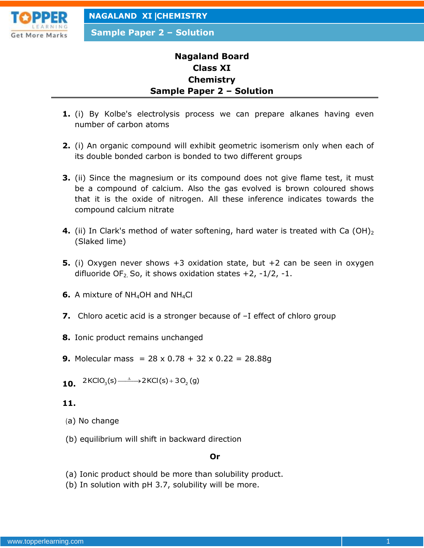

**Sample Paper 2 – Solution**

# **Nagaland Board Class XI Chemistry Sample Paper 2 – Solution**

- **1.** (i) By Kolbe's electrolysis process we can prepare alkanes having even number of carbon atoms
- **2.** (i) An organic compound will exhibit geometric isomerism only when each of its double bonded carbon is bonded to two different groups
- **3.** (ii) Since the magnesium or its compound does not give flame test, it must be a compound of calcium. Also the gas evolved is brown coloured shows that it is the oxide of nitrogen. All these inference indicates towards the compound calcium nitrate
- **4.** (ii) In Clark's method of water softening, hard water is treated with Ca (OH)<sub>2</sub> (Slaked lime)
- **5.** (i) Oxygen never shows +3 oxidation state, but +2 can be seen in oxygen difluoride OF<sub>2</sub>. So, it shows oxidation states  $+2$ ,  $-1/2$ ,  $-1$ .
- **6.** A mixture of NH<sub>4</sub>OH and NH<sub>4</sub>Cl
- **7.** Chloro acetic acid is a stronger because of –I effect of chloro group
- **8.** Ionic product remains unchanged
- **9.** Molecular mass =  $28 \times 0.78 + 32 \times 0.22 = 28.88g$
- **10.**  $2KClO_3(s) \xrightarrow{\Delta} 2KCl(s) + 3O_2(g)$ **10.**  $2KClO_3(s) \longrightarrow 2KCl(s) + 3O_2(g)$ <br> **11.**<br>
(a) No change<br>
(b) equilibrium will shift in backware<br>
(a) Ionic product should be more the (b) In solution with pH 3.7, solubili

# **11.**

- (a) No change
- (b) equilibrium will shift in backward direction

### **Or**

- (a) Ionic product should be more than solubility product.
- (b) In solution with pH 3.7, solubility will be more.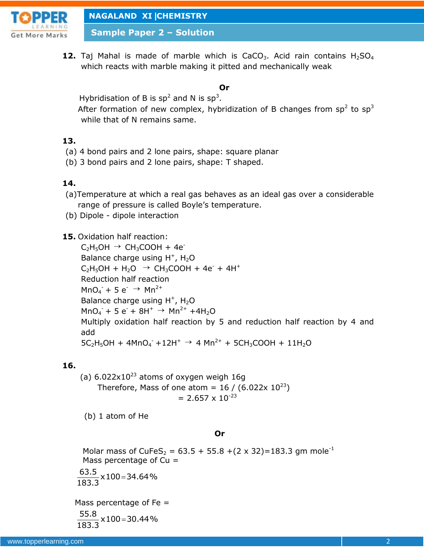

**Sample Paper 2 – Solution**

**12.** Taj Mahal is made of marble which is  $CaCO<sub>3</sub>$ . Acid rain contains  $H<sub>2</sub>SO<sub>4</sub>$ which reacts with marble making it pitted and mechanically weak

# **Or**

Hybridisation of B is  $sp^2$  and N is  $sp^3$ .

After formation of new complex, hybridization of B changes from  $sp^2$  to  $sp^3$ while that of N remains same.

### **13.**

- (a) 4 bond pairs and 2 lone pairs, shape: square planar
- (b) 3 bond pairs and 2 lone pairs, shape: T shaped.

# **14.**

- (a)Temperature at which a real gas behaves as an ideal gas over a considerable range of pressure is called Boyle's temperature.
- (b) Dipole dipole interaction
- **15.** Oxidation half reaction:

 $C_2H_5OH \rightarrow CH_3COOH + 4e^-$ Balance charge using  $H^+$ ,  $H_2O$  $C_2H_5OH + H_2O \rightarrow CH_3COOH + 4e^- + 4H^+$ Reduction half reaction  $MnO_4 + 5 e^- \rightarrow Mn^{2+}$ Balance charge using  $H^+$ ,  $H_2O$  $MnO_4$  + 5 e + 8H<sup>+</sup>  $\rightarrow$  Mn<sup>2+</sup> +4H<sub>2</sub>O Multiply oxidation half reaction by 5 and reduction half reaction by 4 and add  $5C_2H_5OH + 4MnO_4 + 12H^+ \rightarrow 4 Mn<sup>2+</sup> + 5CH_3COOH + 11H_2O$ → CH<sub>3</sub>COOH + 4e<sup>-</sup><br>
charge using H<sup>+</sup>, H<sub>2</sub>O<br>
+ H<sub>2</sub>O → CH<sub>3</sub>COOH + 4e + 4H<sup>+</sup><br>
n half reaction<br>
5 e<sup>2</sup> → Mn<sup>2+</sup><br>
charge using H<sup>+</sup>, H<sub>2</sub>O<br>
5 e<sup>2</sup> + 8H<sup>+</sup> → Mn<sup>2+</sup> + 4H<sub>2</sub>O<br>
oxidation half reaction by 5 and reduction ha

### **16.**

(a)  $6.022 \times 10^{23}$  atoms of oxygen weigh 16g Therefore, Mass of one atom =  $16 / (6.022 \times 10^{23})$  $= 2.657 \times 10^{-23}$ 

(b) 1 atom of He

### **Or**

Molar mass of CuFeS<sub>2</sub> = 63.5 + 55.8 +(2 x 32)=183.3 gm mole<sup>-1</sup><br>Mass percentage of Cu =<br> $\frac{63.5}{183.3}$  x 100=34.64% Mass percentage of  $Cu =$ Molar mass of CuFeS<sub>2</sub> = 63.5 + 55.8 +(2 x 32)=183.3 gm mole<sup>-1</sup><br>Mass percentage of Cu =<br> $\frac{63.5}{183.3}$  x 100 = 34.64% Molar mass or CuFeS<sub>2</sub> = 63.5 + 55.8 +(2 x 32)=183.3 gm mole 4<br>Mass percentage of Cu =<br> $\frac{63.5}{183.3}$  x 100=34.64%

$$
\frac{63.5}{183.3} \times 100 = 34.64\%
$$

Mass percentage of  $Fe =$ 

183.3  
Mass percentage of Fe =  

$$
\frac{55.8}{183.3} \times 100 = 30.44\%
$$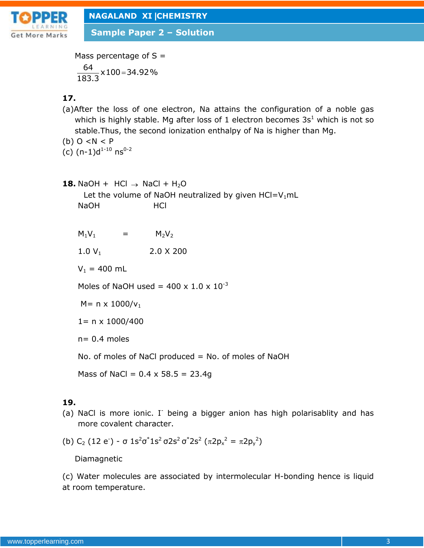

**Sample Paper 2 – Solution**

```
Mass percentage of S =tage of S =<br>=34.92%
 Sample Paper 2 – Solution<br>
ass percentage of S =<br>
\frac{64}{83.3} \times 100 = 34.92\%Mass percentage of S = \frac{64}{183.3} \times 100 = 34.92\%
```
# **17.**

- (a)After the loss of one electron, Na attains the configuration of a noble gas which is highly stable. Mg after loss of 1 electron becomes  $3s<sup>1</sup>$  which is not so stable.Thus, the second ionization enthalpy of Na is higher than Mg. these percentage of S =<br>
Mass percentage of S =<br>  $\frac{G_4}{1000}$  x100=34.92%<br>
17.<br>
(a)Mhs is highly stable. Mg after loss of 1 electron becomes 3s' which is not so<br>
which is highly stable. Mg after loss of 1 electron becom
	- (b)  $0 < N < P$
	- (c)  $(n-1)d^{1-10}$  ns<sup>0-2</sup>

```
18. NaOH + HCl \rightarrow NaCl + H<sub>2</sub>O
```
Let the volume of NaOH neutralized by given  $HCl=V_1mL$ NaOH HCl

 $M_1V_1 = M_2V_2$ 

 $1.0 V_1$  2.0 X 200

 $V_1 = 400$  mL

Moles of NaOH used =  $400 \times 1.0 \times 10^{-3}$ 

```
M = n \times 1000/v_1
```
 $1 = n \times 1000/400$ 

 $n= 0.4$  moles

No. of moles of NaCl produced = No. of moles of NaOH

Mass of NaCl =  $0.4 \times 58.5 = 23.4g$ 

# **19.**

(a) NaCl is more ionic. I being a bigger anion has high polarisablity and has more covalent character.

(b) C<sub>2</sub> (12 e<sup>2</sup>) - 
$$
\sigma
$$
 1s<sup>2</sup>  $\sigma$ <sup>\*</sup> 1s<sup>2</sup>  $\sigma$ 2s<sup>2</sup>  $\sigma$ <sup>\*</sup> 2s<sup>2</sup> ( $\pi$ 2p<sub>x</sub><sup>2</sup> =  $\pi$ 2p<sub>y</sub><sup>2</sup>)

Diamagnetic

(c) Water molecules are associated by intermolecular H-bonding hence is liquid at room temperature.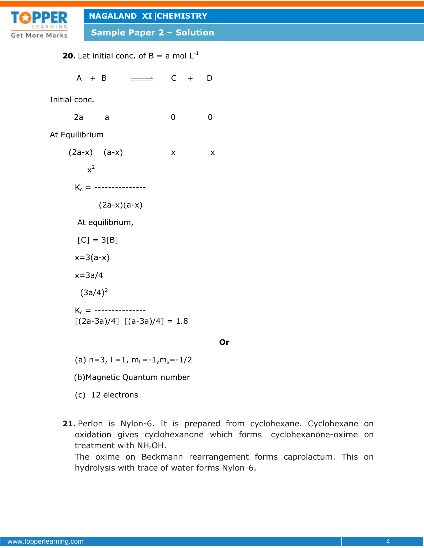

**Sample Paper 2 – Solution**

**20.** Let initial conc. of  $B = a$  mol  $L^{-1}$ 

 $A + B$   $\qquad \qquad \longrightarrow \qquad C + D$ 

Initial conc.

2a a 0 0

At Equilibrium

 $(2a-x)$   $(a-x)$  x x  $x^2$  $K_c =$  ---------------- $(2a-x)(a-x)$ At equilibrium,  $[C] = 3[B]$  $x=3(a-x)$  $x=3a/4$  $(3a/4)^2$  $K_c =$  ---------------- $[(2a-3a)/4]$   $[(a-3a)/4] = 1.8$ 

**Or**

(a)  $n=3$ ,  $l = 1$ ,  $m_l = -1$ ,  $m_s = -1/2$ 

(b)Magnetic Quantum number

(c) 12 electrons

**21.** Perlon is Nylon-6. It is prepared from cyclohexane. Cyclohexane on oxidation gives cyclohexanone which forms cyclohexanone-oxime on treatment with NH<sub>2</sub>OH.

The oxime on Beckmann rearrangement forms caprolactum. This on hydrolysis with trace of water forms Nylon-6.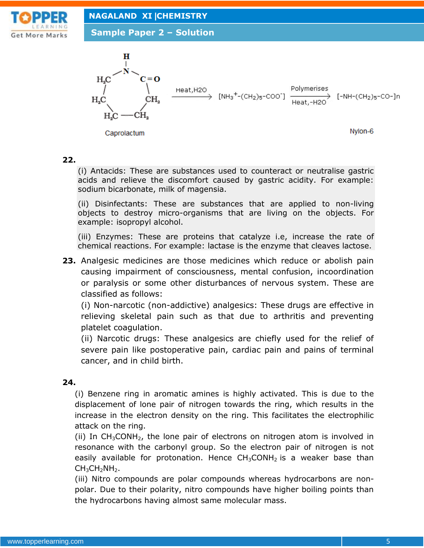

**Sample Paper 2 – Solution**



#### **22.**

(i) Antacids: These are substances used to counteract or neutralise gastric acids and relieve the discomfort caused by gastric acidity. For example: sodium bicarbonate, milk of magensia.

(ii) Disinfectants: These are substances that are applied to non-living objects to destroy micro-organisms that are living on the objects. For example: isopropyl alcohol.

(iii) Enzymes: These are proteins that catalyze i.e, increase the rate of chemical reactions. For example: lactase is the enzyme that cleaves lactose.

**23.** Analgesic medicines are those medicines which reduce or abolish pain causing impairment of consciousness, mental confusion, incoordination or paralysis or some other disturbances of nervous system. These are classified as follows:

(i) Non-narcotic (non-addictive) analgesics: These drugs are effective in relieving skeletal pain such as that due to arthritis and preventing platelet coagulation.

(ii) Narcotic drugs: These analgesics are chiefly used for the relief of severe pain like postoperative pain, cardiac pain and pains of terminal cancer, and in child birth.

# **24.**

(i) Benzene ring in aromatic amines is highly activated. This is due to the displacement of lone pair of nitrogen towards the ring, which results in the increase in the electron density on the ring. This facilitates the electrophilic attack on the ring.

(ii) In  $CH<sub>3</sub>CONH<sub>2</sub>$ , the lone pair of electrons on nitrogen atom is involved in resonance with the carbonyl group. So the electron pair of nitrogen is not easily available for protonation. Hence  $CH<sub>3</sub>CONH<sub>2</sub>$  is a weaker base than  $CH<sub>3</sub>CH<sub>2</sub>NH<sub>2</sub>$ .

(iii) Nitro compounds are polar compounds whereas hydrocarbons are nonpolar. Due to their polarity, nitro compounds have higher boiling points than the hydrocarbons having almost same molecular mass.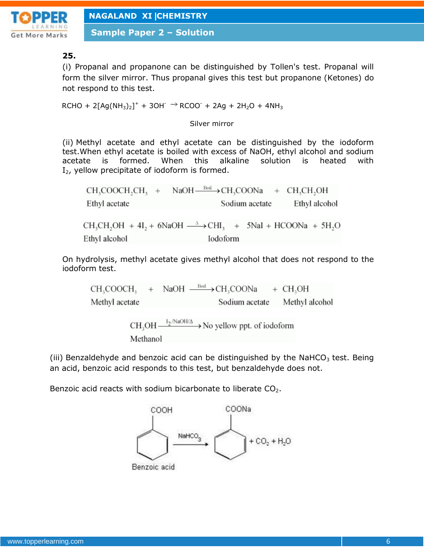

**Sample Paper 2 – Solution**

# **25.**

(i) Propanal and propanone can be distinguished by Tollen's test. Propanal will form the silver mirror. Thus propanal gives this test but propanone (Ketones) do not respond to this test.

 $RCHO + 2[Ag(NH<sub>3</sub>)<sub>2</sub>]<sup>+</sup> + 3OH^- \rightarrow RCOO^- + 2Ag + 2H<sub>2</sub>O + 4NH<sub>3</sub>$ 

Silver mirror

(ii) Methyl acetate and ethyl acetate can be distinguished by the iodoform test.When ethyl acetate is boiled with excess of NaOH, ethyl alcohol and sodium acetate is formed. When this alkaline solution is heated with  $I<sub>2</sub>$ , yellow precipitate of iodoform is formed.

 $CH_3COOCH_2CH_3$  + NaOH $\xrightarrow{Boid}$  CH<sub>3</sub>COONa + CH<sub>3</sub>CH<sub>2</sub>OH Sodium acetate Ethyl alcohol Ethyl acetate  $CH_3CH_2OH + 4I_2 + 6NaOH \xrightarrow{\Delta} CHI_3 + 5NaI + HCOONa + 5H_2O$ Ethyl alcohol Iodoform

On hydrolysis, methyl acetate gives methyl alcohol that does not respond to the iodoform test.

+ NaOH - Boil > CH<sub>2</sub>COONa CH<sub>2</sub>COOCH<sub>2</sub>  $+$  CH<sub>2</sub>OH Methyl acetate Sodium acetate Methyl alcohol

> $CH_2OH \xrightarrow{I_2/NaOH/\Delta} No$  yellow ppt. of iodoform Methanol

(iii) Benzaldehyde and benzoic acid can be distinguished by the NaHCO<sub>3</sub> test. Being an acid, benzoic acid responds to this test, but benzaldehyde does not.

Benzoic acid reacts with sodium bicarbonate to liberate  $CO<sub>2</sub>$ .

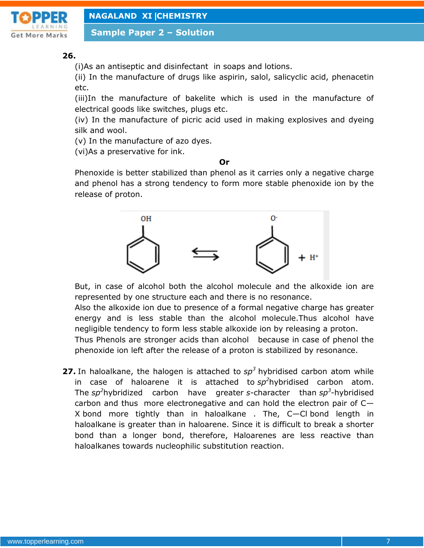

**Sample Paper 2 – Solution**

# **26.**

(i)As an antiseptic and disinfectant in soaps and lotions.

(ii) In the manufacture of drugs like aspirin, salol, salicyclic acid, phenacetin etc.

(iii)In the manufacture of bakelite which is used in the manufacture of electrical goods like switches, plugs etc.

(iv) In the manufacture of picric acid used in making explosives and dyeing silk and wool.

(v) In the manufacture of azo dyes.

(vi)As a preservative for ink.

**Or**

Phenoxide is better stabilized than phenol as it carries only a negative charge and phenol has a strong tendency to form more stable phenoxide ion by the release of proton.



But, in case of alcohol both the alcohol molecule and the alkoxide ion are represented by one structure each and there is no resonance.

Also the alkoxide ion due to presence of a formal negative charge has greater energy and is less stable than the alcohol molecule.Thus alcohol have negligible tendency to form less stable alkoxide ion by releasing a proton.

Thus Phenols are stronger acids than alcohol because in case of phenol the phenoxide ion left after the release of a proton is stabilized by resonance.

**27.** In haloalkane, the halogen is attached to *sp<sup>3</sup>* hybridised carbon atom while in case of haloarene it is attached to *sp<sup>2</sup>*hybridised carbon atom. The *sp<sup>2</sup>*hybridized carbon have greater *s*-character than *sp<sup>3</sup>* -hybridised carbon and thus more electronegative and can hold the electron pair of C— X bond more tightly than in haloalkane . The, C—Cl bond length in haloalkane is greater than in haloarene. Since it is difficult to break a shorter bond than a longer bond, therefore, Haloarenes are less reactive than haloalkanes towards nucleophilic substitution reaction.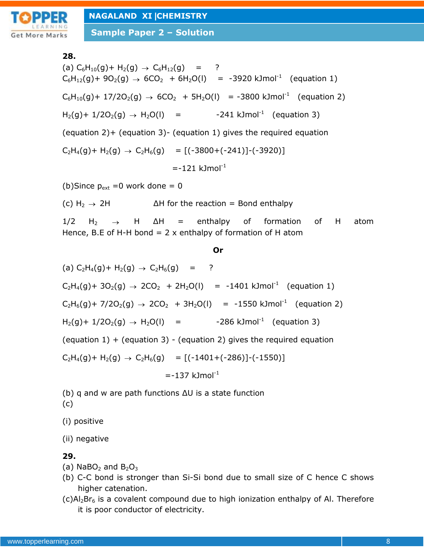



**Sample Paper 2 – Solution**

### **28.**

(a)  $C_6H_{10}(g) + H_2(g) \rightarrow C_6H_{12}(g) = ?$  $C_6H_{12}(g)$ + 90<sub>2</sub>(g)  $\rightarrow$  6CO<sub>2</sub> + 6H<sub>2</sub>O(l) = -3920 kJmol<sup>-1</sup> (equation 1)  $C_6H_{10}(g)$ + 17/2O<sub>2</sub>(g)  $\rightarrow$  6CO<sub>2</sub> + 5H<sub>2</sub>O(l) = -3800 kJmol<sup>-1</sup> (equation 2)  $H_2(g) + 1/2O_2(g) \rightarrow H_2O(l) = -241 \text{ kJmol}^{-1}$  (equation 3) (equation 2)+ (equation 3)- (equation 1) gives the required equation  $C_2H_4(g)$ + H<sub>2</sub>(g)  $\rightarrow$  C<sub>2</sub>H<sub>6</sub>(g) = [(-3800+(-241)]-(-3920)]  $=-121$  kJmol<sup>-1</sup> C<sub>6</sub>H<sub>10</sub>(g) + H<sub>2</sub>(g)  $\rightarrow$  C<sub>6</sub>H<sub>12</sub>(g) =<br>  $\frac{1}{2}(9) + 902(g) \rightarrow 6CO_2 + 6H_2O(l)$ <br>  $\frac{1}{2}(9) + 17/2O_2(g) \rightarrow 6CO_2 + 5H_2O(l)$ <br>  $\frac{1}{2}(9) + 17/2O_2(g) \rightarrow H_2O(l)$  =<br>  $\frac{1}{2}(9) + 12(9) \rightarrow C_2H_6(g)$  = [(-380<br>  $\frac{1}{2}(9) + H_2(g) \rightarrow C_2H_6(g)$ 

(b)Since  $p_{ext} = 0$  work done = 0

 $\Delta H$  for the reaction = Bond enthalpy (c)  $H_2 \rightarrow 2H$ 

 $ΔH = enthalpy of formation of H atom$ Hence, B.E of H-H bond  $= 2x$  enthalpy of formation of H atom  $1/2$  H<sub>2</sub>  $\rightarrow$  H

### **Or**

(a) 
$$
C_2H_4(g) + H_2(g) \rightarrow C_2H_6(g) = ?
$$
  
\n $C_2H_4(g) + 3O_2(g) \rightarrow 2CO_2 + 2H_2O(l) = -1401 \text{ kJmol}^{-1} \text{ (equation 1)}$   
\n $C_2H_6(g) + 7/2O_2(g) \rightarrow 2CO_2 + 3H_2O(l) = -1550 \text{ kJmol}^{-1} \text{ (equation 2)}$   
\n $H_2(g) + 1/2O_2(g) \rightarrow H_2O(l) = -286 \text{ kJmol}^{-1} \text{ (equation 3)}$ 

(equation  $1$ ) + (equation  $3$ ) - (equation  $2$ ) gives the required equation

$$
C_2H_4(g) + H_2(g) \rightarrow C_2H_6(g) = [(-1401 + (-286)] - (-1550)]
$$

 $= -137$  kJmol<sup>-1</sup>

(b) q and w are path functions ∆U is a state function

(c)

(i) positive

(ii) negative

# **29.**

- (a)  $NaBO<sub>2</sub>$  and  $B<sub>2</sub>O<sub>3</sub>$
- (b) C-C bond is stronger than Si-Si bond due to small size of C hence C shows higher catenation.
- $(c)$ Al<sub>2</sub>Br<sub>6</sub> is a covalent compound due to high ionization enthalpy of Al. Therefore